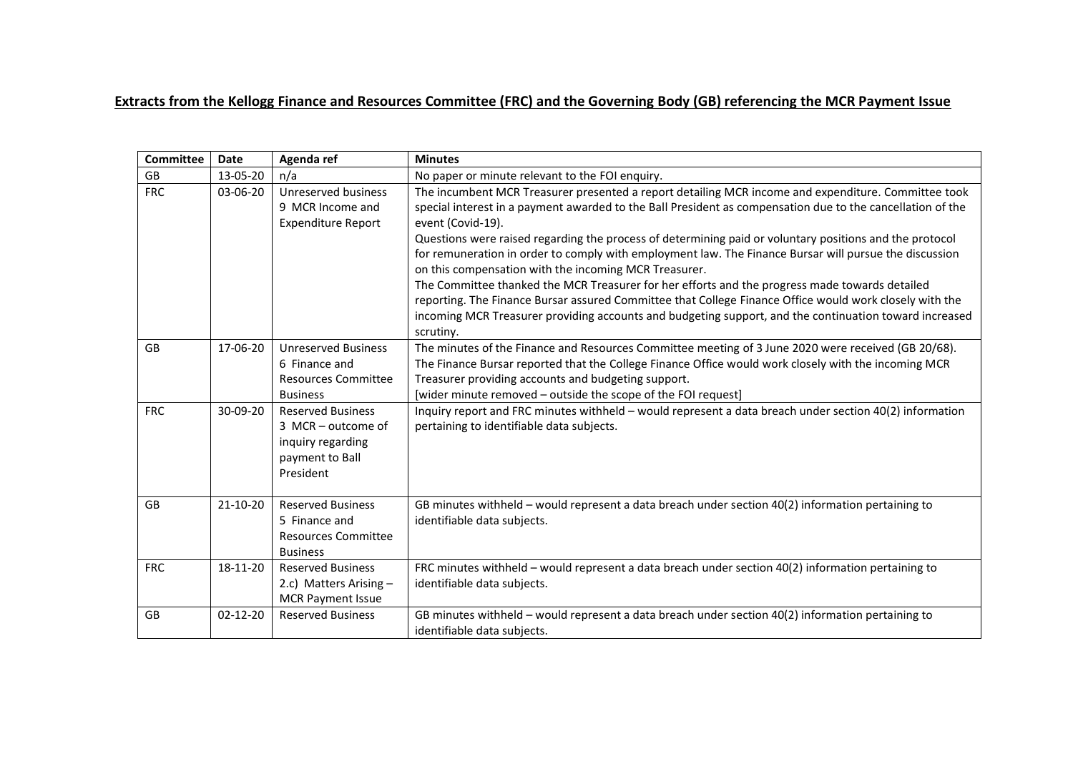## **Extracts from the Kellogg Finance and Resources Committee (FRC) and the Governing Body (GB) referencing the MCR Payment Issue**

| <b>Committee</b> | <b>Date</b>    | Agenda ref                                                                                          | <b>Minutes</b>                                                                                                                                                                                                                                                                                                                      |
|------------------|----------------|-----------------------------------------------------------------------------------------------------|-------------------------------------------------------------------------------------------------------------------------------------------------------------------------------------------------------------------------------------------------------------------------------------------------------------------------------------|
| <b>GB</b>        | 13-05-20       | n/a                                                                                                 | No paper or minute relevant to the FOI enquiry.                                                                                                                                                                                                                                                                                     |
| <b>FRC</b>       | 03-06-20       | Unreserved business<br>9 MCR Income and<br><b>Expenditure Report</b>                                | The incumbent MCR Treasurer presented a report detailing MCR income and expenditure. Committee took<br>special interest in a payment awarded to the Ball President as compensation due to the cancellation of the<br>event (Covid-19).                                                                                              |
|                  |                |                                                                                                     | Questions were raised regarding the process of determining paid or voluntary positions and the protocol<br>for remuneration in order to comply with employment law. The Finance Bursar will pursue the discussion<br>on this compensation with the incoming MCR Treasurer.                                                          |
|                  |                |                                                                                                     | The Committee thanked the MCR Treasurer for her efforts and the progress made towards detailed<br>reporting. The Finance Bursar assured Committee that College Finance Office would work closely with the<br>incoming MCR Treasurer providing accounts and budgeting support, and the continuation toward increased<br>scrutiny.    |
| GB               | 17-06-20       | <b>Unreserved Business</b><br>6 Finance and<br><b>Resources Committee</b><br><b>Business</b>        | The minutes of the Finance and Resources Committee meeting of 3 June 2020 were received (GB 20/68).<br>The Finance Bursar reported that the College Finance Office would work closely with the incoming MCR<br>Treasurer providing accounts and budgeting support.<br>[wider minute removed - outside the scope of the FOI request] |
| <b>FRC</b>       | 30-09-20       | <b>Reserved Business</b><br>3 MCR - outcome of<br>inquiry regarding<br>payment to Ball<br>President | Inquiry report and FRC minutes withheld - would represent a data breach under section 40(2) information<br>pertaining to identifiable data subjects.                                                                                                                                                                                |
| <b>GB</b>        | 21-10-20       | <b>Reserved Business</b><br>5 Finance and<br><b>Resources Committee</b><br><b>Business</b>          | GB minutes withheld - would represent a data breach under section 40(2) information pertaining to<br>identifiable data subjects.                                                                                                                                                                                                    |
| <b>FRC</b>       | 18-11-20       | <b>Reserved Business</b><br>2.c) Matters Arising $-$<br><b>MCR Payment Issue</b>                    | FRC minutes withheld - would represent a data breach under section 40(2) information pertaining to<br>identifiable data subjects.                                                                                                                                                                                                   |
| GB               | $02 - 12 - 20$ | <b>Reserved Business</b>                                                                            | GB minutes withheld $-$ would represent a data breach under section $40(2)$ information pertaining to<br>identifiable data subjects.                                                                                                                                                                                                |